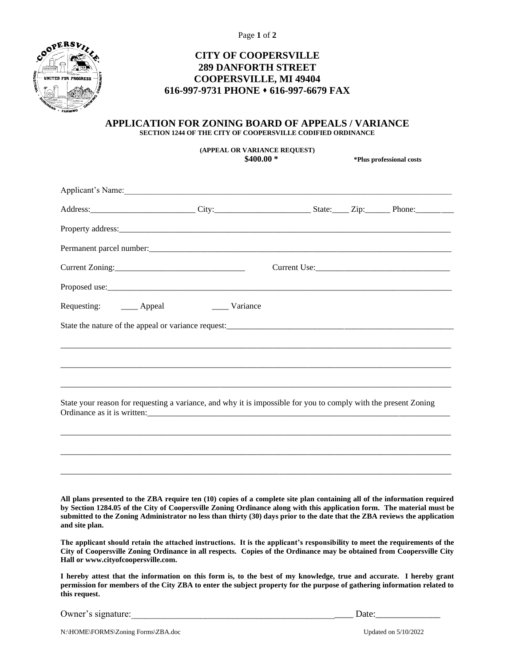Page **1** of **2**



## **CITY OF COOPERSVILLE 289 DANFORTH STREET COOPERSVILLE, MI 49404 616-997-9731 PHONE** ⬧ **616-997-6679 FAX**

## **APPLICATION FOR ZONING BOARD OF APPEALS / VARIANCE SECTION 1244 OF THE CITY OF COOPERSVILLE CODIFIED ORDINANCE**

**(APPEAL OR VARIANCE REQUEST)**

**\$400.00 \* \*Plus professional costs**

| Address: Phone: City: City: City: State: Zip: Phone: Phone:                                                                                                                                                                                                                                                                                                                                         |  |  |  |  |
|-----------------------------------------------------------------------------------------------------------------------------------------------------------------------------------------------------------------------------------------------------------------------------------------------------------------------------------------------------------------------------------------------------|--|--|--|--|
|                                                                                                                                                                                                                                                                                                                                                                                                     |  |  |  |  |
|                                                                                                                                                                                                                                                                                                                                                                                                     |  |  |  |  |
|                                                                                                                                                                                                                                                                                                                                                                                                     |  |  |  |  |
|                                                                                                                                                                                                                                                                                                                                                                                                     |  |  |  |  |
| Requesting: ______ Appeal ______ Variance                                                                                                                                                                                                                                                                                                                                                           |  |  |  |  |
|                                                                                                                                                                                                                                                                                                                                                                                                     |  |  |  |  |
|                                                                                                                                                                                                                                                                                                                                                                                                     |  |  |  |  |
|                                                                                                                                                                                                                                                                                                                                                                                                     |  |  |  |  |
|                                                                                                                                                                                                                                                                                                                                                                                                     |  |  |  |  |
| State your reason for requesting a variance, and why it is impossible for you to comply with the present Zoning<br>Ordinance as it is written:                                                                                                                                                                                                                                                      |  |  |  |  |
|                                                                                                                                                                                                                                                                                                                                                                                                     |  |  |  |  |
|                                                                                                                                                                                                                                                                                                                                                                                                     |  |  |  |  |
|                                                                                                                                                                                                                                                                                                                                                                                                     |  |  |  |  |
|                                                                                                                                                                                                                                                                                                                                                                                                     |  |  |  |  |
| All plans presented to the ZBA require ten (10) copies of a complete site plan containing all of the information required<br>by Section 1284.05 of the City of Coopersville Zoning Ordinance along with this application form. The material must be<br>submitted to the Zoning Administrator no less than thirty (30) days prior to the date that the ZBA reviews the application<br>and site plan. |  |  |  |  |
| The applicant should retain the attached instructions. It is the applicant's responsibility to meet the requirements of the<br>City of Coopersville Zoning Ordinance in all respects. Copies of the Ordinance may be obtained from Coopersville City<br>Hall or www.cityofcoopersville.com.                                                                                                         |  |  |  |  |
| I hereby attest that the information on this form is, to the best of my knowledge, true and accurate. I hereby grant<br>permission for members of the City ZBA to enter the subject property for the purpose of gathering information related to<br>this request.                                                                                                                                   |  |  |  |  |

Owner's signature:\_\_\_\_\_\_\_\_\_\_\_\_\_\_\_\_\_\_\_\_\_\_\_\_\_\_\_\_\_\_\_\_\_\_\_\_\_\_\_\_\_\_\_\_\_\_\_\_ Date:\_\_\_\_\_\_\_\_\_\_\_\_\_\_